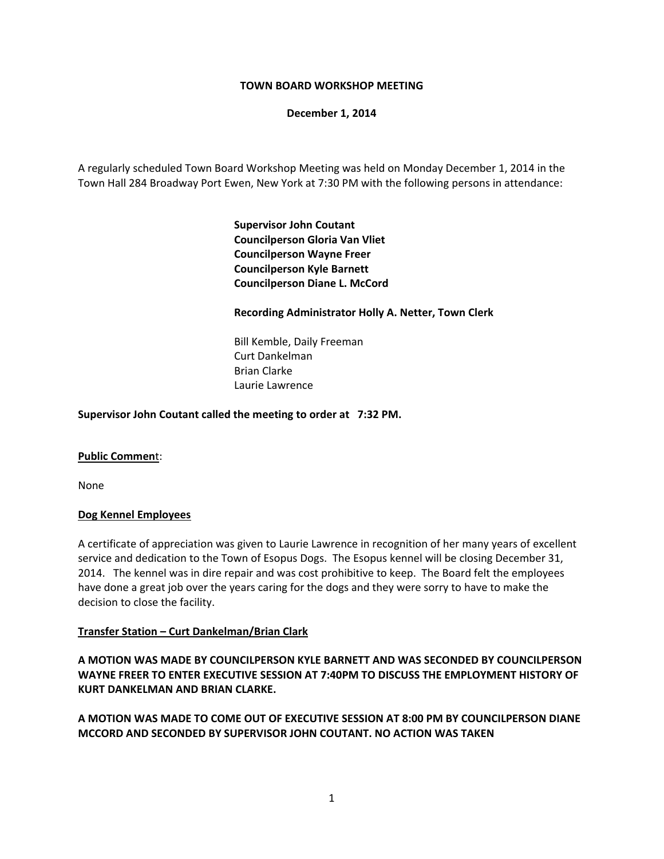## **TOWN BOARD WORKSHOP MEETING**

**December 1, 2014**

A regularly scheduled Town Board Workshop Meeting was held on Monday December 1, 2014 in the Town Hall 284 Broadway Port Ewen, New York at 7:30 PM with the following persons in attendance:

> **Supervisor John Coutant Councilperson Gloria Van Vliet Councilperson Wayne Freer Councilperson Kyle Barnett Councilperson Diane L. McCord**

## **Recording Administrator Holly A. Netter, Town Clerk**

 Bill Kemble, Daily Freeman Curt Dankelman Brian Clarke Laurie Lawrence

## **Supervisor John Coutant called the meeting to order at 7:32 PM.**

### **Public Commen**t:

None

### **Dog Kennel Employees**

A certificate of appreciation was given to Laurie Lawrence in recognition of her many years of excellent service and dedication to the Town of Esopus Dogs. The Esopus kennel will be closing December 31, 2014. The kennel was in dire repair and was cost prohibitive to keep. The Board felt the employees have done a great job over the years caring for the dogs and they were sorry to have to make the decision to close the facility.

### **Transfer Station – Curt Dankelman/Brian Clark**

**A MOTION WAS MADE BY COUNCILPERSON KYLE BARNETT AND WAS SECONDED BY COUNCILPERSON WAYNE FREER TO ENTER EXECUTIVE SESSION AT 7:40PM TO DISCUSS THE EMPLOYMENT HISTORY OF KURT DANKELMAN AND BRIAN CLARKE.**

**A MOTION WAS MADE TO COME OUT OF EXECUTIVE SESSION AT 8:00 PM BY COUNCILPERSON DIANE MCCORD AND SECONDED BY SUPERVISOR JOHN COUTANT. NO ACTION WAS TAKEN**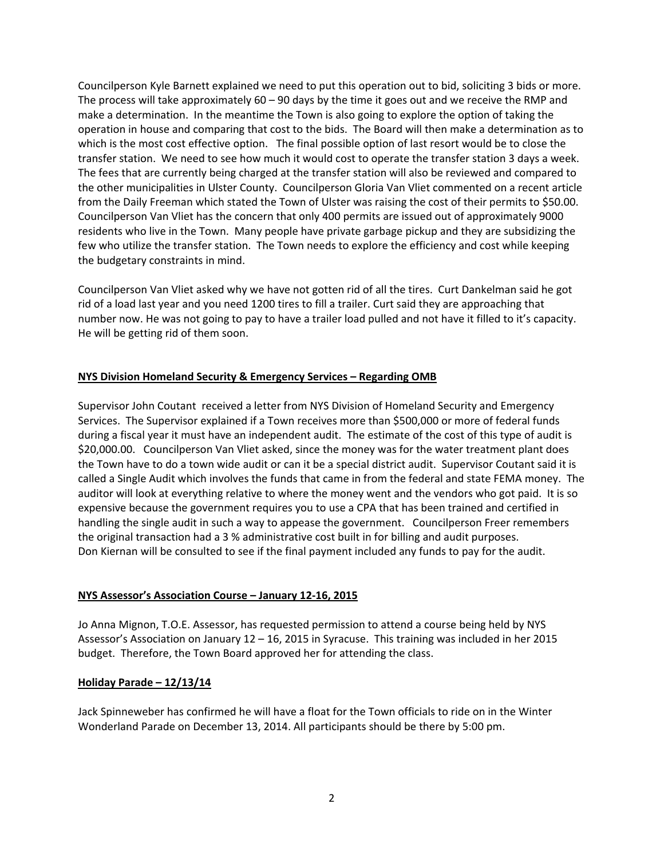Councilperson Kyle Barnett explained we need to put this operation out to bid, soliciting 3 bids or more. The process will take approximately  $60 - 90$  days by the time it goes out and we receive the RMP and make a determination. In the meantime the Town is also going to explore the option of taking the operation in house and comparing that cost to the bids. The Board will then make a determination as to which is the most cost effective option. The final possible option of last resort would be to close the transfer station. We need to see how much it would cost to operate the transfer station 3 days a week. The fees that are currently being charged at the transfer station will also be reviewed and compared to the other municipalities in Ulster County. Councilperson Gloria Van Vliet commented on a recent article from the Daily Freeman which stated the Town of Ulster was raising the cost of their permits to \$50.00. Councilperson Van Vliet has the concern that only 400 permits are issued out of approximately 9000 residents who live in the Town. Many people have private garbage pickup and they are subsidizing the few who utilize the transfer station. The Town needs to explore the efficiency and cost while keeping the budgetary constraints in mind.

Councilperson Van Vliet asked why we have not gotten rid of all the tires. Curt Dankelman said he got rid of a load last year and you need 1200 tires to fill a trailer. Curt said they are approaching that number now. He was not going to pay to have a trailer load pulled and not have it filled to it's capacity. He will be getting rid of them soon.

# **NYS Division Homeland Security & Emergency Services – Regarding OMB**

Supervisor John Coutant received a letter from NYS Division of Homeland Security and Emergency Services. The Supervisor explained if a Town receives more than \$500,000 or more of federal funds during a fiscal year it must have an independent audit. The estimate of the cost of this type of audit is \$20,000.00. Councilperson Van Vliet asked, since the money was for the water treatment plant does the Town have to do a town wide audit or can it be a special district audit. Supervisor Coutant said it is called a Single Audit which involves the funds that came in from the federal and state FEMA money. The auditor will look at everything relative to where the money went and the vendors who got paid. It is so expensive because the government requires you to use a CPA that has been trained and certified in handling the single audit in such a way to appease the government. Councilperson Freer remembers the original transaction had a 3 % administrative cost built in for billing and audit purposes. Don Kiernan will be consulted to see if the final payment included any funds to pay for the audit.

### **NYS Assessor's Association Course – January 12‐16, 2015**

Jo Anna Mignon, T.O.E. Assessor, has requested permission to attend a course being held by NYS Assessor's Association on January 12 – 16, 2015 in Syracuse. This training was included in her 2015 budget. Therefore, the Town Board approved her for attending the class.

### **Holiday Parade – 12/13/14**

Jack Spinneweber has confirmed he will have a float for the Town officials to ride on in the Winter Wonderland Parade on December 13, 2014. All participants should be there by 5:00 pm.